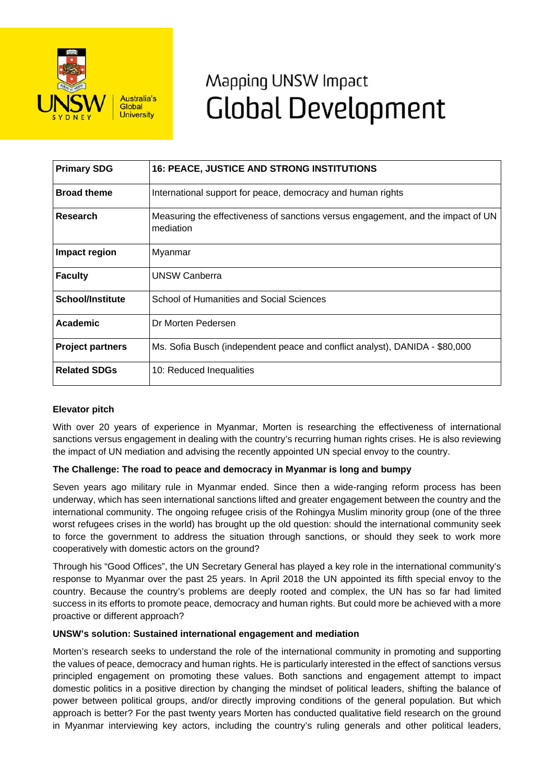

# Mapping UNSW Impact **Global Development**

| <b>Primary SDG</b>      | <b>16: PEACE, JUSTICE AND STRONG INSTITUTIONS</b>                                             |
|-------------------------|-----------------------------------------------------------------------------------------------|
| <b>Broad theme</b>      | International support for peace, democracy and human rights                                   |
| Research                | Measuring the effectiveness of sanctions versus engagement, and the impact of UN<br>mediation |
| Impact region           | Myanmar                                                                                       |
| <b>Faculty</b>          | <b>UNSW Canberra</b>                                                                          |
| <b>School/Institute</b> | School of Humanities and Social Sciences                                                      |
| Academic                | Dr Morten Pedersen                                                                            |
| <b>Project partners</b> | Ms. Sofia Busch (independent peace and conflict analyst), DANIDA - \$80,000                   |
| <b>Related SDGs</b>     | 10: Reduced Inequalities                                                                      |

## **Elevator pitch**

With over 20 years of experience in Myanmar, Morten is researching the effectiveness of international sanctions versus engagement in dealing with the country's recurring human rights crises. He is also reviewing the impact of UN mediation and advising the recently appointed UN special envoy to the country.

## **The Challenge: The road to peace and democracy in Myanmar is long and bumpy**

Seven years ago military rule in Myanmar ended. Since then a wide-ranging reform process has been underway, which has seen international sanctions lifted and greater engagement between the country and the international community. The ongoing refugee crisis of the Rohingya Muslim minority group (one of the three worst refugees crises in the world) has brought up the old question: should the international community seek to force the government to address the situation through sanctions, or should they seek to work more cooperatively with domestic actors on the ground?

Through his "Good Offices", the UN Secretary General has played a key role in the international community's response to Myanmar over the past 25 years. In April 2018 the UN appointed its fifth special envoy to the country. Because the country's problems are deeply rooted and complex, the UN has so far had limited success in its efforts to promote peace, democracy and human rights. But could more be achieved with a more proactive or different approach?

### **UNSW's solution: Sustained international engagement and mediation**

Morten's research seeks to understand the role of the international community in promoting and supporting the values of peace, democracy and human rights. He is particularly interested in the effect of sanctions versus principled engagement on promoting these values. Both sanctions and engagement attempt to impact domestic politics in a positive direction by changing the mindset of political leaders, shifting the balance of power between political groups, and/or directly improving conditions of the general population. But which approach is better? For the past twenty years Morten has conducted qualitative field research on the ground in Myanmar interviewing key actors, including the country's ruling generals and other political leaders,